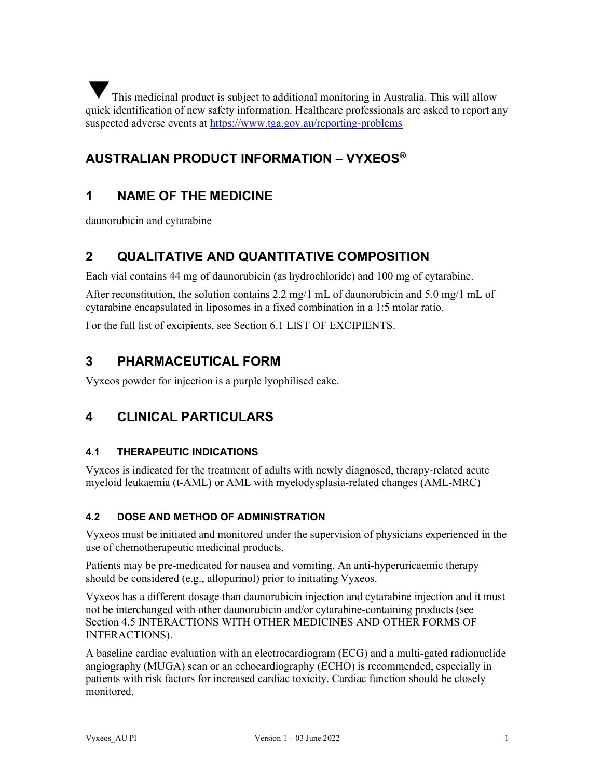This medicinal product is subject to additional monitoring in Australia. This will allow quick identification of new safety information. Healthcare professionals are asked to report any suspected adverse events at https://www.tga.gov.au/reporting-problems ▼

# AUSTRALIAN PRODUCT INFORMATION – VYXEOS®

# 1 NAME OF THE MEDICINE

daunorubicin and cytarabine

# 2 QUALITATIVE AND QUANTITATIVE COMPOSITION

Each vial contains 44 mg of daunorubicin (as hydrochloride) and 100 mg of cytarabine.

After reconstitution, the solution contains 2.2 mg/1 mL of daunorubicin and 5.0 mg/1 mL of cytarabine encapsulated in liposomes in a fixed combination in a 1:5 molar ratio.

For the full list of excipients, see Section 6.1 LIST OF EXCIPIENTS.

# 3 PHARMACEUTICAL FORM

Vyxeos powder for injection is a purple lyophilised cake.

# 4 CLINICAL PARTICULARS

# 4.1 THERAPEUTIC INDICATIONS

Vyxeos is indicated for the treatment of adults with newly diagnosed, therapy-related acute myeloid leukaemia (t-AML) or AML with myelodysplasia-related changes (AML-MRC)

# 4.2 DOSE AND METHOD OF ADMINISTRATION

Vyxeos must be initiated and monitored under the supervision of physicians experienced in the use of chemotherapeutic medicinal products.

Patients may be pre-medicated for nausea and vomiting. An anti-hyperuricaemic therapy should be considered (e.g., allopurinol) prior to initiating Vyxeos.

Vyxeos has a different dosage than daunorubicin injection and cytarabine injection and it must not be interchanged with other daunorubicin and/or cytarabine-containing products (see Section 4.5 INTERACTIONS WITH OTHER MEDICINES AND OTHER FORMS OF INTERACTIONS).

A baseline cardiac evaluation with an electrocardiogram (ECG) and a multi-gated radionuclide angiography (MUGA) scan or an echocardiography (ECHO) is recommended, especially in patients with risk factors for increased cardiac toxicity. Cardiac function should be closely monitored.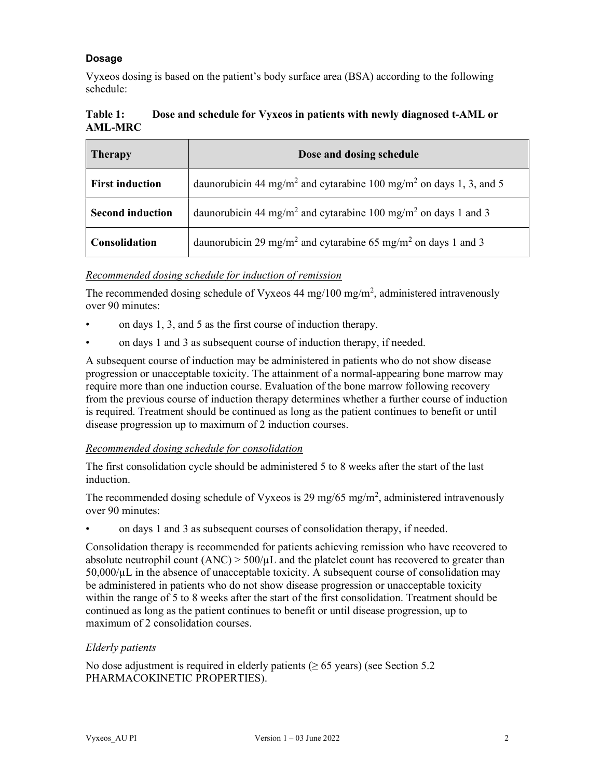# Dosage

Vyxeos dosing is based on the patient's body surface area (BSA) according to the following schedule:

| Table 1:       |  | Dose and schedule for Vyxeos in patients with newly diagnosed t-AML or |
|----------------|--|------------------------------------------------------------------------|
| <b>AML-MRC</b> |  |                                                                        |

| <b>Therapy</b>          | Dose and dosing schedule                                                                   |
|-------------------------|--------------------------------------------------------------------------------------------|
| <b>First induction</b>  | daunorubicin 44 mg/m <sup>2</sup> and cytarabine 100 mg/m <sup>2</sup> on days 1, 3, and 5 |
| <b>Second induction</b> | daunorubicin 44 mg/m <sup>2</sup> and cytarabine 100 mg/m <sup>2</sup> on days 1 and 3     |
| <b>Consolidation</b>    | daunorubicin 29 mg/m <sup>2</sup> and cytarabine 65 mg/m <sup>2</sup> on days 1 and 3      |

# Recommended dosing schedule for induction of remission

The recommended dosing schedule of Vyxeos 44 mg/100 mg/m<sup>2</sup>, administered intravenously over 90 minutes:

- on days 1, 3, and 5 as the first course of induction therapy.
- on days 1 and 3 as subsequent course of induction therapy, if needed.

A subsequent course of induction may be administered in patients who do not show disease progression or unacceptable toxicity. The attainment of a normal-appearing bone marrow may require more than one induction course. Evaluation of the bone marrow following recovery from the previous course of induction therapy determines whether a further course of induction is required. Treatment should be continued as long as the patient continues to benefit or until disease progression up to maximum of 2 induction courses.

# Recommended dosing schedule for consolidation

The first consolidation cycle should be administered 5 to 8 weeks after the start of the last induction.

The recommended dosing schedule of Vyxeos is 29 mg/65 mg/m<sup>2</sup>, administered intravenously over 90 minutes:

• on days 1 and 3 as subsequent courses of consolidation therapy, if needed.

Consolidation therapy is recommended for patients achieving remission who have recovered to absolute neutrophil count  $(ANC) > 500/µL$  and the platelet count has recovered to greater than  $50,000/\mu L$  in the absence of unacceptable toxicity. A subsequent course of consolidation may be administered in patients who do not show disease progression or unacceptable toxicity within the range of 5 to 8 weeks after the start of the first consolidation. Treatment should be continued as long as the patient continues to benefit or until disease progression, up to maximum of 2 consolidation courses.

# Elderly patients

No dose adjustment is required in elderly patients ( $\geq 65$  years) (see Section 5.2) PHARMACOKINETIC PROPERTIES).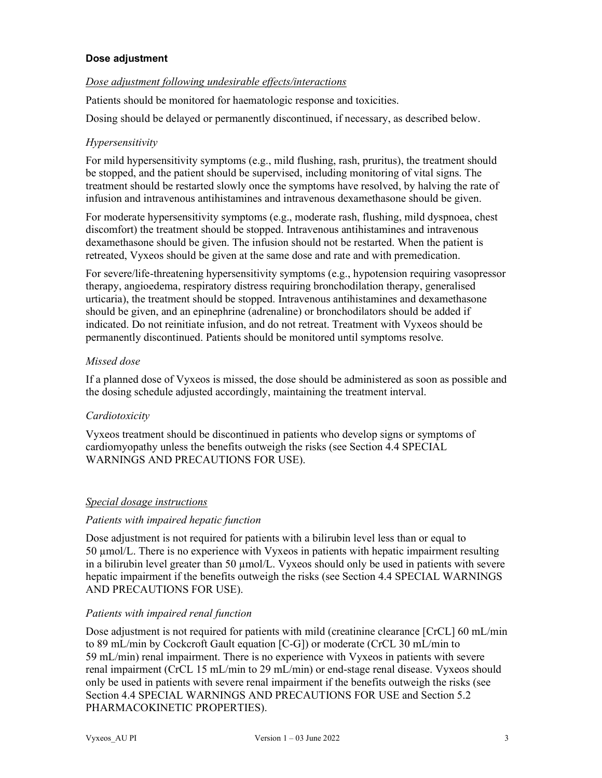## Dose adjustment

## Dose adjustment following undesirable effects/interactions

Patients should be monitored for haematologic response and toxicities.

Dosing should be delayed or permanently discontinued, if necessary, as described below.

## Hypersensitivity

For mild hypersensitivity symptoms (e.g., mild flushing, rash, pruritus), the treatment should be stopped, and the patient should be supervised, including monitoring of vital signs. The treatment should be restarted slowly once the symptoms have resolved, by halving the rate of infusion and intravenous antihistamines and intravenous dexamethasone should be given.

For moderate hypersensitivity symptoms (e.g., moderate rash, flushing, mild dyspnoea, chest discomfort) the treatment should be stopped. Intravenous antihistamines and intravenous dexamethasone should be given. The infusion should not be restarted. When the patient is retreated, Vyxeos should be given at the same dose and rate and with premedication.

For severe/life-threatening hypersensitivity symptoms (e.g., hypotension requiring vasopressor therapy, angioedema, respiratory distress requiring bronchodilation therapy, generalised urticaria), the treatment should be stopped. Intravenous antihistamines and dexamethasone should be given, and an epinephrine (adrenaline) or bronchodilators should be added if indicated. Do not reinitiate infusion, and do not retreat. Treatment with Vyxeos should be permanently discontinued. Patients should be monitored until symptoms resolve.

## Missed dose

If a planned dose of Vyxeos is missed, the dose should be administered as soon as possible and the dosing schedule adjusted accordingly, maintaining the treatment interval.

# **Cardiotoxicity**

Vyxeos treatment should be discontinued in patients who develop signs or symptoms of cardiomyopathy unless the benefits outweigh the risks (see Section 4.4 SPECIAL WARNINGS AND PRECAUTIONS FOR USE).

### Special dosage instructions

### Patients with impaired hepatic function

Dose adjustment is not required for patients with a bilirubin level less than or equal to 50 µmol/L. There is no experience with Vyxeos in patients with hepatic impairment resulting in a bilirubin level greater than 50  $\mu$ mol/L. Vyxeos should only be used in patients with severe hepatic impairment if the benefits outweigh the risks (see Section 4.4 SPECIAL WARNINGS AND PRECAUTIONS FOR USE).

### Patients with impaired renal function

Dose adjustment is not required for patients with mild (creatinine clearance [CrCL] 60 mL/min to 89 mL/min by Cockcroft Gault equation [C-G]) or moderate (CrCL 30 mL/min to 59 mL/min) renal impairment. There is no experience with Vyxeos in patients with severe renal impairment (CrCL 15 mL/min to 29 mL/min) or end-stage renal disease. Vyxeos should only be used in patients with severe renal impairment if the benefits outweigh the risks (see Section 4.4 SPECIAL WARNINGS AND PRECAUTIONS FOR USE and Section 5.2 PHARMACOKINETIC PROPERTIES).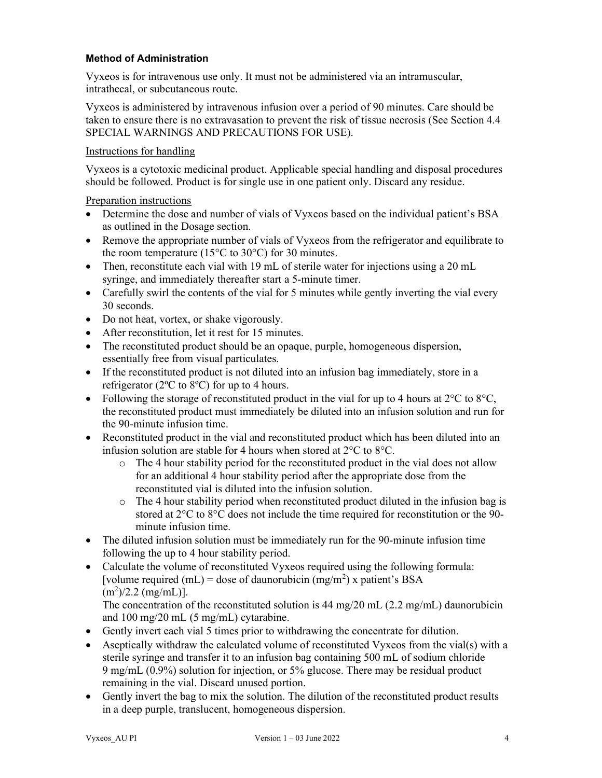## Method of Administration

Vyxeos is for intravenous use only. It must not be administered via an intramuscular, intrathecal, or subcutaneous route.

Vyxeos is administered by intravenous infusion over a period of 90 minutes. Care should be taken to ensure there is no extravasation to prevent the risk of tissue necrosis (See Section 4.4 SPECIAL WARNINGS AND PRECAUTIONS FOR USE).

# Instructions for handling

Vyxeos is a cytotoxic medicinal product. Applicable special handling and disposal procedures should be followed. Product is for single use in one patient only. Discard any residue.

Preparation instructions

- Determine the dose and number of vials of Vyxeos based on the individual patient's BSA as outlined in the Dosage section.
- Remove the appropriate number of vials of Vyxeos from the refrigerator and equilibrate to the room temperature (15 $\degree$ C to 30 $\degree$ C) for 30 minutes.
- Then, reconstitute each vial with 19 mL of sterile water for injections using a 20 mL syringe, and immediately thereafter start a 5-minute timer.
- Carefully swirl the contents of the vial for 5 minutes while gently inverting the vial every 30 seconds.
- Do not heat, vortex, or shake vigorously.
- After reconstitution, let it rest for 15 minutes.
- The reconstituted product should be an opaque, purple, homogeneous dispersion, essentially free from visual particulates.
- If the reconstituted product is not diluted into an infusion bag immediately, store in a refrigerator (2ºC to 8ºC) for up to 4 hours.
- Following the storage of reconstituted product in the vial for up to 4 hours at  $2^{\circ}C$  to  $8^{\circ}C$ , the reconstituted product must immediately be diluted into an infusion solution and run for the 90-minute infusion time.
- Reconstituted product in the vial and reconstituted product which has been diluted into an infusion solution are stable for 4 hours when stored at 2°C to 8°C.
	- $\circ$  The 4 hour stability period for the reconstituted product in the vial does not allow for an additional 4 hour stability period after the appropriate dose from the reconstituted vial is diluted into the infusion solution.
	- $\circ$  The 4 hour stability period when reconstituted product diluted in the infusion bag is stored at  $2^{\circ}$ C to  $8^{\circ}$ C does not include the time required for reconstitution or the 90minute infusion time.
- The diluted infusion solution must be immediately run for the 90-minute infusion time following the up to 4 hour stability period.
- Calculate the volume of reconstituted Vyxeos required using the following formula: [volume required  $(mL)$  = dose of daunorubicin  $(mg/m<sup>2</sup>)$  x patient's BSA  $(m^2)/2.2$  (mg/mL)].

The concentration of the reconstituted solution is 44 mg/20 mL (2.2 mg/mL) daunorubicin and 100 mg/20 mL (5 mg/mL) cytarabine.

- Gently invert each vial 5 times prior to withdrawing the concentrate for dilution.
- Aseptically withdraw the calculated volume of reconstituted Vyxeos from the vial(s) with a sterile syringe and transfer it to an infusion bag containing 500 mL of sodium chloride 9 mg/mL (0.9%) solution for injection, or 5% glucose. There may be residual product remaining in the vial. Discard unused portion.
- Gently invert the bag to mix the solution. The dilution of the reconstituted product results in a deep purple, translucent, homogeneous dispersion.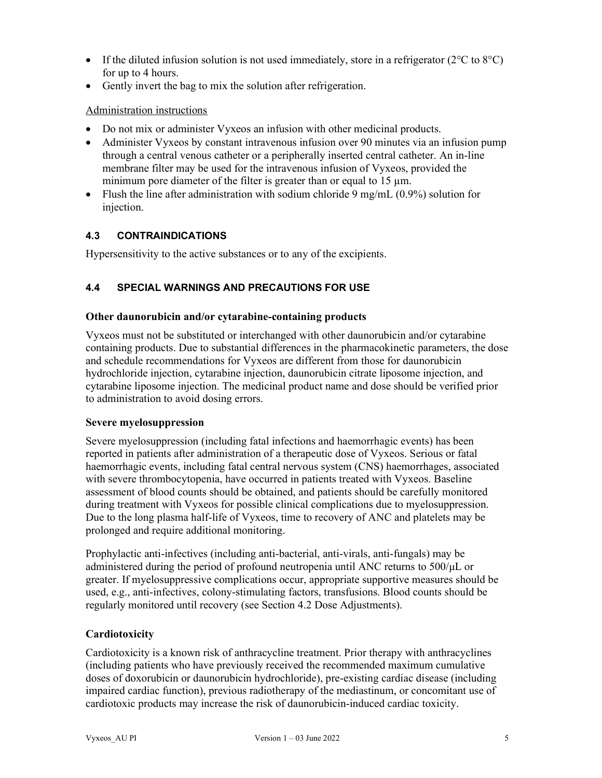- If the diluted infusion solution is not used immediately, store in a refrigerator ( $2^{\circ}$ C to  $8^{\circ}$ C) for up to 4 hours.
- Gently invert the bag to mix the solution after refrigeration.

## Administration instructions

- Do not mix or administer Vyxeos an infusion with other medicinal products.
- Administer Vyxeos by constant intravenous infusion over 90 minutes via an infusion pump through a central venous catheter or a peripherally inserted central catheter. An in-line membrane filter may be used for the intravenous infusion of Vyxeos, provided the minimum pore diameter of the filter is greater than or equal to 15 µm.
- Flush the line after administration with sodium chloride 9 mg/mL  $(0.9\%)$  solution for injection.

# 4.3 CONTRAINDICATIONS

Hypersensitivity to the active substances or to any of the excipients.

# 4.4 SPECIAL WARNINGS AND PRECAUTIONS FOR USE

### Other daunorubicin and/or cytarabine-containing products

Vyxeos must not be substituted or interchanged with other daunorubicin and/or cytarabine containing products. Due to substantial differences in the pharmacokinetic parameters, the dose and schedule recommendations for Vyxeos are different from those for daunorubicin hydrochloride injection, cytarabine injection, daunorubicin citrate liposome injection, and cytarabine liposome injection. The medicinal product name and dose should be verified prior to administration to avoid dosing errors.

### Severe myelosuppression

Severe myelosuppression (including fatal infections and haemorrhagic events) has been reported in patients after administration of a therapeutic dose of Vyxeos. Serious or fatal haemorrhagic events, including fatal central nervous system (CNS) haemorrhages, associated with severe thrombocytopenia, have occurred in patients treated with Vyxeos. Baseline assessment of blood counts should be obtained, and patients should be carefully monitored during treatment with Vyxeos for possible clinical complications due to myelosuppression. Due to the long plasma half-life of Vyxeos, time to recovery of ANC and platelets may be prolonged and require additional monitoring.

Prophylactic anti-infectives (including anti-bacterial, anti-virals, anti-fungals) may be administered during the period of profound neutropenia until ANC returns to 500/μL or greater. If myelosuppressive complications occur, appropriate supportive measures should be used, e.g., anti-infectives, colony-stimulating factors, transfusions. Blood counts should be regularly monitored until recovery (see Section 4.2 Dose Adjustments).

# **Cardiotoxicity**

Cardiotoxicity is a known risk of anthracycline treatment. Prior therapy with anthracyclines (including patients who have previously received the recommended maximum cumulative doses of doxorubicin or daunorubicin hydrochloride), pre-existing cardiac disease (including impaired cardiac function), previous radiotherapy of the mediastinum, or concomitant use of cardiotoxic products may increase the risk of daunorubicin-induced cardiac toxicity.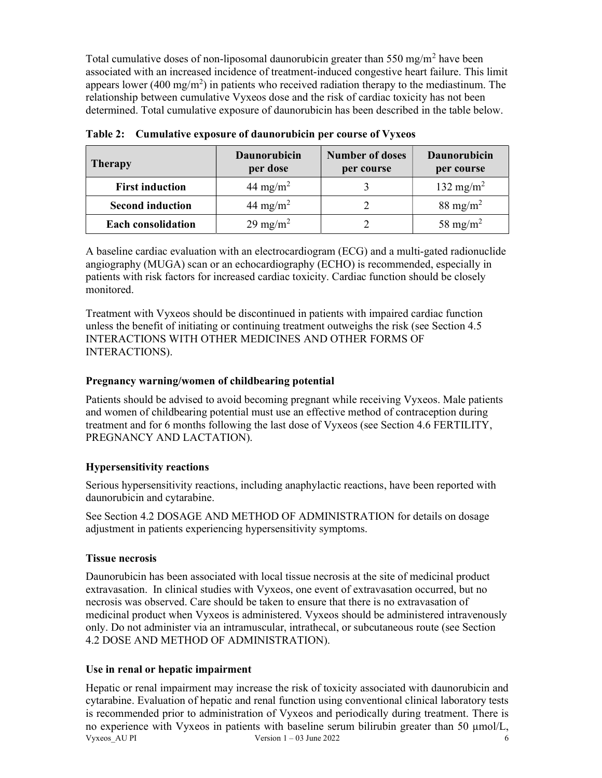Total cumulative doses of non-liposomal daunorubicin greater than  $550 \text{ mg/m}^2$  have been associated with an increased incidence of treatment-induced congestive heart failure. This limit appears lower (400 mg/m<sup>2</sup>) in patients who received radiation therapy to the mediastinum. The relationship between cumulative Vyxeos dose and the risk of cardiac toxicity has not been determined. Total cumulative exposure of daunorubicin has been described in the table below.

| <b>Therapy</b>            | <b>Daunorubicin</b><br>per dose | <b>Number of doses</b><br>per course | <b>Daunorubicin</b><br>per course |
|---------------------------|---------------------------------|--------------------------------------|-----------------------------------|
| <b>First induction</b>    | 44 mg/m <sup>2</sup>            |                                      | 132 mg/m <sup>2</sup>             |
| <b>Second induction</b>   | 44 mg/m <sup>2</sup>            |                                      | $88 \text{ mg/m}^2$               |
| <b>Each consolidation</b> | $29 \text{ mg/m}^2$             |                                      | 58 mg/m <sup>2</sup>              |

Table 2: Cumulative exposure of daunorubicin per course of Vyxeos

A baseline cardiac evaluation with an electrocardiogram (ECG) and a multi-gated radionuclide angiography (MUGA) scan or an echocardiography (ECHO) is recommended, especially in patients with risk factors for increased cardiac toxicity. Cardiac function should be closely monitored.

Treatment with Vyxeos should be discontinued in patients with impaired cardiac function unless the benefit of initiating or continuing treatment outweighs the risk (see Section 4.5 INTERACTIONS WITH OTHER MEDICINES AND OTHER FORMS OF INTERACTIONS).

# Pregnancy warning/women of childbearing potential

Patients should be advised to avoid becoming pregnant while receiving Vyxeos. Male patients and women of childbearing potential must use an effective method of contraception during treatment and for 6 months following the last dose of Vyxeos (see Section 4.6 FERTILITY, PREGNANCY AND LACTATION).

# Hypersensitivity reactions

Serious hypersensitivity reactions, including anaphylactic reactions, have been reported with daunorubicin and cytarabine.

See Section 4.2 DOSAGE AND METHOD OF ADMINISTRATION for details on dosage adjustment in patients experiencing hypersensitivity symptoms.

# Tissue necrosis

Daunorubicin has been associated with local tissue necrosis at the site of medicinal product extravasation. In clinical studies with Vyxeos, one event of extravasation occurred, but no necrosis was observed. Care should be taken to ensure that there is no extravasation of medicinal product when Vyxeos is administered. Vyxeos should be administered intravenously only. Do not administer via an intramuscular, intrathecal, or subcutaneous route (see Section 4.2 DOSE AND METHOD OF ADMINISTRATION).

# Use in renal or hepatic impairment

Vyxeos  $\overline{A}$ U PI Version 1 – 03 June 2022 6 Hepatic or renal impairment may increase the risk of toxicity associated with daunorubicin and cytarabine. Evaluation of hepatic and renal function using conventional clinical laboratory tests is recommended prior to administration of Vyxeos and periodically during treatment. There is no experience with Vyxeos in patients with baseline serum bilirubin greater than 50 µmol/L,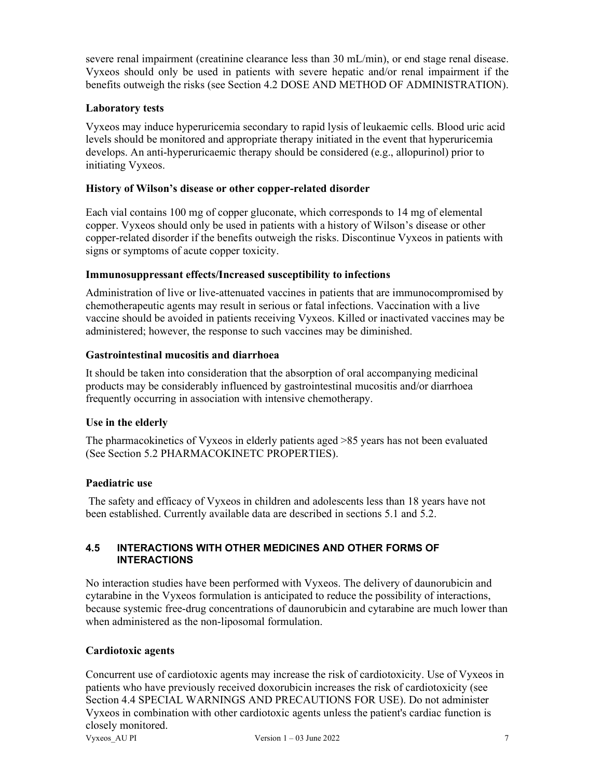severe renal impairment (creatinine clearance less than 30 mL/min), or end stage renal disease. Vyxeos should only be used in patients with severe hepatic and/or renal impairment if the benefits outweigh the risks (see Section 4.2 DOSE AND METHOD OF ADMINISTRATION).

## Laboratory tests

Vyxeos may induce hyperuricemia secondary to rapid lysis of leukaemic cells. Blood uric acid levels should be monitored and appropriate therapy initiated in the event that hyperuricemia develops. An anti-hyperuricaemic therapy should be considered (e.g., allopurinol) prior to initiating Vyxeos.

## History of Wilson's disease or other copper-related disorder

Each vial contains 100 mg of copper gluconate, which corresponds to 14 mg of elemental copper. Vyxeos should only be used in patients with a history of Wilson's disease or other copper-related disorder if the benefits outweigh the risks. Discontinue Vyxeos in patients with signs or symptoms of acute copper toxicity.

### Immunosuppressant effects/Increased susceptibility to infections

Administration of live or live-attenuated vaccines in patients that are immunocompromised by chemotherapeutic agents may result in serious or fatal infections. Vaccination with a live vaccine should be avoided in patients receiving Vyxeos. Killed or inactivated vaccines may be administered; however, the response to such vaccines may be diminished.

### Gastrointestinal mucositis and diarrhoea

It should be taken into consideration that the absorption of oral accompanying medicinal products may be considerably influenced by gastrointestinal mucositis and/or diarrhoea frequently occurring in association with intensive chemotherapy.

# Use in the elderly

The pharmacokinetics of Vyxeos in elderly patients aged >85 years has not been evaluated (See Section 5.2 PHARMACOKINETC PROPERTIES).

# Paediatric use

 The safety and efficacy of Vyxeos in children and adolescents less than 18 years have not been established. Currently available data are described in sections 5.1 and 5.2.

## 4.5 INTERACTIONS WITH OTHER MEDICINES AND OTHER FORMS OF INTERACTIONS

No interaction studies have been performed with Vyxeos. The delivery of daunorubicin and cytarabine in the Vyxeos formulation is anticipated to reduce the possibility of interactions, because systemic free-drug concentrations of daunorubicin and cytarabine are much lower than when administered as the non-liposomal formulation.

# Cardiotoxic agents

Vyxeos AU PI Version  $1 - 03$  June 2022 7 Concurrent use of cardiotoxic agents may increase the risk of cardiotoxicity. Use of Vyxeos in patients who have previously received doxorubicin increases the risk of cardiotoxicity (see Section 4.4 SPECIAL WARNINGS AND PRECAUTIONS FOR USE). Do not administer Vyxeos in combination with other cardiotoxic agents unless the patient's cardiac function is closely monitored.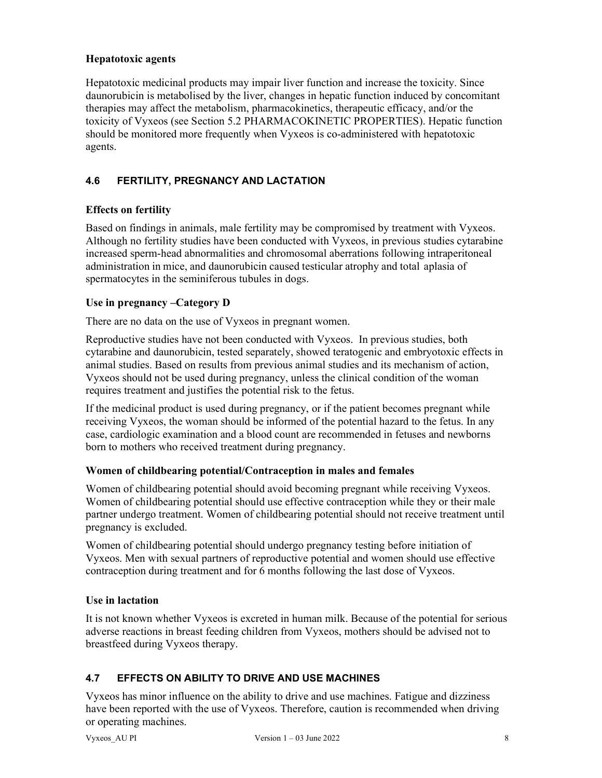## Hepatotoxic agents

Hepatotoxic medicinal products may impair liver function and increase the toxicity. Since daunorubicin is metabolised by the liver, changes in hepatic function induced by concomitant therapies may affect the metabolism, pharmacokinetics, therapeutic efficacy, and/or the toxicity of Vyxeos (see Section 5.2 PHARMACOKINETIC PROPERTIES). Hepatic function should be monitored more frequently when Vyxeos is co-administered with hepatotoxic agents.

# 4.6 FERTILITY, PREGNANCY AND LACTATION

## Effects on fertility

Based on findings in animals, male fertility may be compromised by treatment with Vyxeos. Although no fertility studies have been conducted with Vyxeos, in previous studies cytarabine increased sperm-head abnormalities and chromosomal aberrations following intraperitoneal administration in mice, and daunorubicin caused testicular atrophy and total aplasia of spermatocytes in the seminiferous tubules in dogs.

## Use in pregnancy –Category D

There are no data on the use of Vyxeos in pregnant women.

Reproductive studies have not been conducted with Vyxeos. In previous studies, both cytarabine and daunorubicin, tested separately, showed teratogenic and embryotoxic effects in animal studies. Based on results from previous animal studies and its mechanism of action, Vyxeos should not be used during pregnancy, unless the clinical condition of the woman requires treatment and justifies the potential risk to the fetus.

If the medicinal product is used during pregnancy, or if the patient becomes pregnant while receiving Vyxeos, the woman should be informed of the potential hazard to the fetus. In any case, cardiologic examination and a blood count are recommended in fetuses and newborns born to mothers who received treatment during pregnancy.

### Women of childbearing potential/Contraception in males and females

Women of childbearing potential should avoid becoming pregnant while receiving Vyxeos. Women of childbearing potential should use effective contraception while they or their male partner undergo treatment. Women of childbearing potential should not receive treatment until pregnancy is excluded.

Women of childbearing potential should undergo pregnancy testing before initiation of Vyxeos. Men with sexual partners of reproductive potential and women should use effective contraception during treatment and for 6 months following the last dose of Vyxeos.

### Use in lactation

It is not known whether Vyxeos is excreted in human milk. Because of the potential for serious adverse reactions in breast feeding children from Vyxeos, mothers should be advised not to breastfeed during Vyxeos therapy.

# 4.7 EFFECTS ON ABILITY TO DRIVE AND USE MACHINES

Vyxeos has minor influence on the ability to drive and use machines. Fatigue and dizziness have been reported with the use of Vyxeos. Therefore, caution is recommended when driving or operating machines.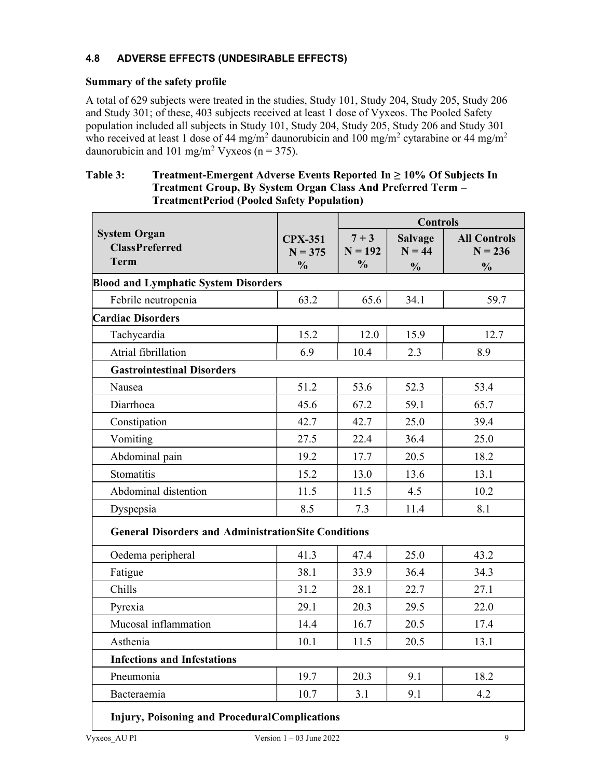# 4.8 ADVERSE EFFECTS (UNDESIRABLE EFFECTS)

#### Summary of the safety profile

A total of 629 subjects were treated in the studies, Study 101, Study 204, Study 205, Study 206 and Study 301; of these, 403 subjects received at least 1 dose of Vyxeos. The Pooled Safety population included all subjects in Study 101, Study 204, Study 205, Study 206 and Study 301 who received at least 1 dose of 44 mg/m<sup>2</sup> daunorubicin and 100 mg/m<sup>2</sup> cytarabine or 44 mg/m<sup>2</sup> daunorubicin and 101 mg/m<sup>2</sup> Vyxeos (n = 375).

## Table 3: Treatment-Emergent Adverse Events Reported In ≥ 10% Of Subjects In Treatment Group, By System Organ Class And Preferred Term – Treatment Period (Pooled Safety Population)

|                                                             |                             | <b>Controls</b>      |                            |                                  |
|-------------------------------------------------------------|-----------------------------|----------------------|----------------------------|----------------------------------|
| <b>System Organ</b><br><b>ClassPreferred</b>                | <b>CPX-351</b><br>$N = 375$ | $7 + 3$<br>$N = 192$ | <b>Salvage</b><br>$N = 44$ | <b>All Controls</b><br>$N = 236$ |
| <b>Term</b>                                                 | $\frac{0}{0}$               | $\frac{0}{0}$        | $\frac{0}{0}$              | $\frac{0}{0}$                    |
| <b>Blood and Lymphatic System Disorders</b>                 |                             |                      |                            |                                  |
| Febrile neutropenia                                         | 63.2                        | 65.6                 | 34.1                       | 59.7                             |
| <b>Cardiac Disorders</b>                                    |                             |                      |                            |                                  |
| Tachycardia                                                 | 15.2                        | 12.0                 | 15.9                       | 12.7                             |
| Atrial fibrillation                                         | 6.9                         | 10.4                 | 2.3                        | 8.9                              |
| <b>Gastrointestinal Disorders</b>                           |                             |                      |                            |                                  |
| Nausea                                                      | 51.2                        | 53.6                 | 52.3                       | 53.4                             |
| Diarrhoea                                                   | 45.6                        | 67.2                 | 59.1                       | 65.7                             |
| Constipation                                                | 42.7                        | 42.7                 | 25.0                       | 39.4                             |
| Vomiting                                                    | 27.5                        | 22.4                 | 36.4                       | 25.0                             |
| Abdominal pain                                              | 19.2                        | 17.7                 | 20.5                       | 18.2                             |
| Stomatitis                                                  | 15.2                        | 13.0                 | 13.6                       | 13.1                             |
| Abdominal distention                                        | 11.5                        | 11.5                 | 4.5                        | 10.2                             |
| Dyspepsia                                                   | 8.5                         | 7.3                  | 11.4                       | 8.1                              |
| <b>General Disorders and Administration Site Conditions</b> |                             |                      |                            |                                  |
| Oedema peripheral                                           | 41.3                        | 47.4                 | 25.0                       | 43.2                             |
| Fatigue                                                     | 38.1                        | 33.9                 | 36.4                       | 34.3                             |
| Chills                                                      | 31.2                        | 28.1                 | 22.7                       | 27.1                             |
| Pyrexia                                                     | 29.1                        | 20.3                 | 29.5                       | 22.0                             |
| Mucosal inflammation                                        | 14.4                        | 16.7                 | 20.5                       | 17.4                             |
| Asthenia                                                    | 10.1                        | 11.5                 | 20.5                       | 13.1                             |
| <b>Infections and Infestations</b>                          |                             |                      |                            |                                  |
| Pneumonia                                                   | 19.7                        | 20.3                 | 9.1                        | 18.2                             |
| Bacteraemia                                                 | 10.7                        | 3.1                  | 9.1                        | 4.2                              |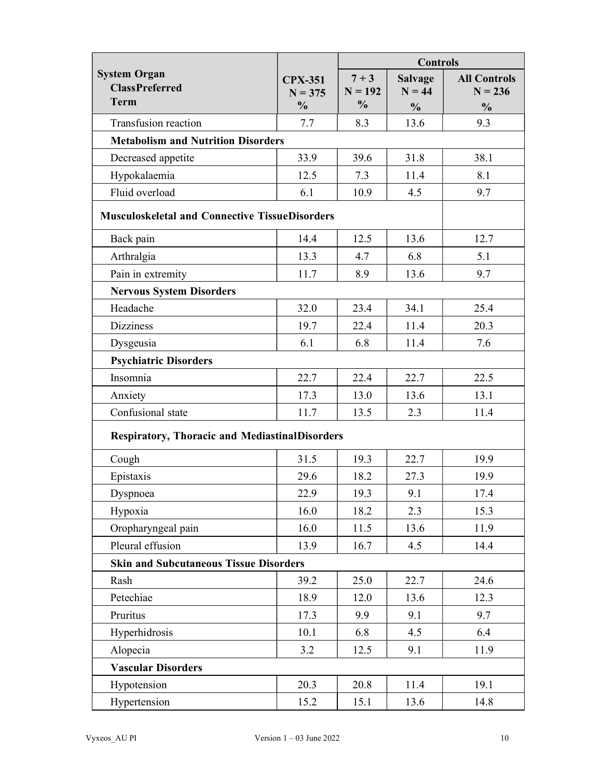|                                                             |                             | <b>Controls</b>      |                            |                                  |
|-------------------------------------------------------------|-----------------------------|----------------------|----------------------------|----------------------------------|
| <b>System Organ</b><br><b>ClassPreferred</b><br><b>Term</b> | <b>CPX-351</b><br>$N = 375$ | $7 + 3$<br>$N = 192$ | <b>Salvage</b><br>$N = 44$ | <b>All Controls</b><br>$N = 236$ |
|                                                             | $\frac{0}{0}$               | $\frac{0}{0}$        | $\frac{0}{0}$              | $\frac{0}{0}$                    |
| Transfusion reaction                                        | 7.7                         | 8.3                  | 13.6                       | 9.3                              |
| <b>Metabolism and Nutrition Disorders</b>                   |                             |                      |                            |                                  |
| Decreased appetite                                          | 33.9                        | 39.6                 | 31.8                       | 38.1                             |
| Hypokalaemia                                                | 12.5                        | 7.3                  | 11.4                       | 8.1                              |
| Fluid overload                                              | 6.1                         | 10.9                 | 4.5                        | 9.7                              |
| <b>Musculoskeletal and Connective TissueDisorders</b>       |                             |                      |                            |                                  |
| Back pain                                                   | 14.4                        | 12.5                 | 13.6                       | 12.7                             |
| Arthralgia                                                  | 13.3                        | 4.7                  | 6.8                        | 5.1                              |
| Pain in extremity                                           | 11.7                        | 8.9                  | 13.6                       | 9.7                              |
| <b>Nervous System Disorders</b>                             |                             |                      |                            |                                  |
| Headache                                                    | 32.0                        | 23.4                 | 34.1                       | 25.4                             |
| <b>Dizziness</b>                                            | 19.7                        | 22.4                 | 11.4                       | 20.3                             |
| Dysgeusia                                                   | 6.1                         | 6.8                  | 11.4                       | 7.6                              |
| <b>Psychiatric Disorders</b>                                |                             |                      |                            |                                  |
| Insomnia                                                    | 22.7                        | 22.4                 | 22.7                       | 22.5                             |
| Anxiety                                                     | 17.3                        | 13.0                 | 13.6                       | 13.1                             |
| Confusional state                                           | 11.7                        | 13.5                 | 2.3                        | 11.4                             |
| <b>Respiratory, Thoracic and MediastinalDisorders</b>       |                             |                      |                            |                                  |
| Cough                                                       | 31.5                        | 19.3                 | 22.7                       | 19.9                             |
| Epistaxis                                                   | 29.6                        | 18.2                 | 27.3                       | 19.9                             |
| Dyspnoea                                                    | 22.9                        | 19.3                 | 9.1                        | 17.4                             |
| Hypoxia                                                     | 16.0                        | 18.2                 | 2.3                        | 15.3                             |
| Oropharyngeal pain                                          | 16.0                        | 11.5                 | 13.6                       | 11.9                             |
| Pleural effusion                                            | 13.9                        | 16.7                 | 4.5                        | 14.4                             |
| <b>Skin and Subcutaneous Tissue Disorders</b>               |                             |                      |                            |                                  |
| Rash                                                        | 39.2                        | 25.0                 | 22.7                       | 24.6                             |
| Petechiae                                                   | 18.9                        | 12.0                 | 13.6                       | 12.3                             |
| Pruritus                                                    | 17.3                        | 9.9                  | 9.1                        | 9.7                              |
| Hyperhidrosis                                               | 10.1                        | 6.8                  | 4.5                        | 6.4                              |
| Alopecia                                                    | 3.2                         | 12.5                 | 9.1                        | 11.9                             |
| <b>Vascular Disorders</b>                                   |                             |                      |                            |                                  |
| Hypotension                                                 | 20.3                        | 20.8                 | 11.4                       | 19.1                             |
| Hypertension                                                | 15.2                        | 15.1                 | 13.6                       | 14.8                             |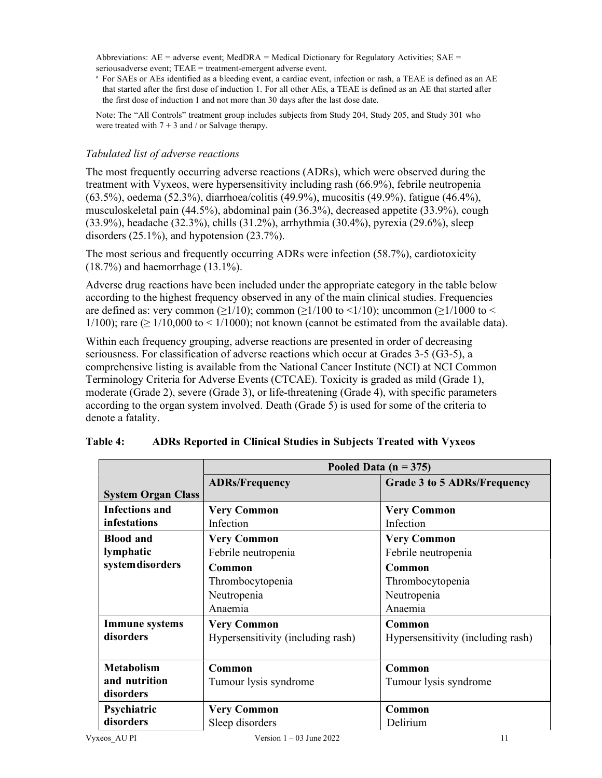Abbreviations:  $AE =$  adverse event; MedDRA = Medical Dictionary for Regulatory Activities;  $SAE =$ serious adverse event; TEAE = treatment-emergent adverse event.

a For SAEs or AEs identified as a bleeding event, a cardiac event, infection or rash, a TEAE is defined as an AE that started after the first dose of induction 1. For all other AEs, a TEAE is defined as an AE that started after the first dose of induction 1 and not more than 30 days after the last dose date.

Note: The "All Controls" treatment group includes subjects from Study 204, Study 205, and Study 301 who were treated with  $7 + 3$  and / or Salvage therapy.

## Tabulated list of adverse reactions

The most frequently occurring adverse reactions (ADRs), which were observed during the treatment with Vyxeos, were hypersensitivity including rash (66.9%), febrile neutropenia (63.5%), oedema (52.3%), diarrhoea/colitis (49.9%), mucositis (49.9%), fatigue (46.4%), musculoskeletal pain (44.5%), abdominal pain (36.3%), decreased appetite (33.9%), cough (33.9%), headache (32.3%), chills (31.2%), arrhythmia (30.4%), pyrexia (29.6%), sleep disorders (25.1%), and hypotension (23.7%).

The most serious and frequently occurring ADRs were infection (58.7%), cardiotoxicity (18.7%) and haemorrhage (13.1%).

Adverse drug reactions have been included under the appropriate category in the table below according to the highest frequency observed in any of the main clinical studies. Frequencies are defined as: very common ( $\geq$ 1/10); common ( $\geq$ 1/100 to <1/10); uncommon ( $\geq$ 1/1000 to <  $1/100$ ); rare ( $\geq 1/10,000$  to <  $1/1000$ ); not known (cannot be estimated from the available data).

Within each frequency grouping, adverse reactions are presented in order of decreasing seriousness. For classification of adverse reactions which occur at Grades 3-5 (G3-5), a comprehensive listing is available from the National Cancer Institute (NCI) at NCI Common Terminology Criteria for Adverse Events (CTCAE). Toxicity is graded as mild (Grade 1), moderate (Grade 2), severe (Grade 3), or life-threatening (Grade 4), with specific parameters according to the organ system involved. Death (Grade 5) is used for some of the criteria to denote a fatality.

|                           | Pooled Data $(n = 375)$           |                                    |  |
|---------------------------|-----------------------------------|------------------------------------|--|
|                           | <b>ADRs/Frequency</b>             | <b>Grade 3 to 5 ADRs/Frequency</b> |  |
| <b>System Organ Class</b> |                                   |                                    |  |
| Infections and            | <b>Very Common</b>                | <b>Very Common</b>                 |  |
| infestations              | Infection                         | Infection                          |  |
| <b>Blood and</b>          | <b>Very Common</b>                | <b>Very Common</b>                 |  |
| lymphatic                 | Febrile neutropenia               | Febrile neutropenia                |  |
| system disorders          | Common                            | Common                             |  |
|                           | Thrombocytopenia                  | Thrombocytopenia                   |  |
|                           | Neutropenia                       | Neutropenia                        |  |
|                           | Anaemia                           | Anaemia                            |  |
| <b>Immune</b> systems     | <b>Very Common</b>                | Common                             |  |
| disorders                 | Hypersensitivity (including rash) | Hypersensitivity (including rash)  |  |
|                           |                                   |                                    |  |
| <b>Metabolism</b>         | Common                            | Common                             |  |
| and nutrition             | Tumour lysis syndrome             | Tumour lysis syndrome              |  |
| disorders                 |                                   |                                    |  |
| Psychiatric               | <b>Very Common</b>                | Common                             |  |
| disorders                 | Sleep disorders                   | Delirium                           |  |

| Table 4: | ADRs Reported in Clinical Studies in Subjects Treated with Vyxeos |  |  |  |
|----------|-------------------------------------------------------------------|--|--|--|
|----------|-------------------------------------------------------------------|--|--|--|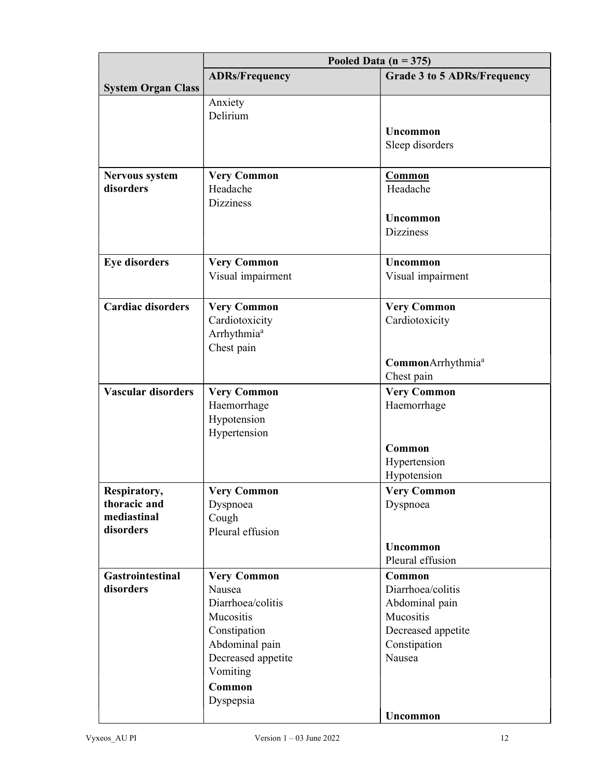|                           |                         | Pooled Data ( $n = 375$ )      |
|---------------------------|-------------------------|--------------------------------|
|                           | <b>ADRs/Frequency</b>   | Grade 3 to 5 ADRs/Frequency    |
| <b>System Organ Class</b> |                         |                                |
|                           | Anxiety                 |                                |
|                           | Delirium                |                                |
|                           |                         | Uncommon                       |
|                           |                         | Sleep disorders                |
|                           |                         |                                |
| <b>Nervous system</b>     | <b>Very Common</b>      | <b>Common</b>                  |
| disorders                 | Headache                | Headache                       |
|                           | <b>Dizziness</b>        |                                |
|                           |                         | Uncommon                       |
|                           |                         | <b>Dizziness</b>               |
|                           |                         |                                |
| <b>Eye disorders</b>      | <b>Very Common</b>      | <b>Uncommon</b>                |
|                           | Visual impairment       | Visual impairment              |
|                           |                         |                                |
| <b>Cardiac disorders</b>  | <b>Very Common</b>      | <b>Very Common</b>             |
|                           | Cardiotoxicity          | Cardiotoxicity                 |
|                           | Arrhythmia <sup>a</sup> |                                |
|                           | Chest pain              |                                |
|                           |                         | Common Arrhythmia <sup>a</sup> |
|                           |                         | Chest pain                     |
| <b>Vascular disorders</b> | <b>Very Common</b>      | <b>Very Common</b>             |
|                           | Haemorrhage             | Haemorrhage                    |
|                           | Hypotension             |                                |
|                           | Hypertension            |                                |
|                           |                         | Common                         |
|                           |                         | Hypertension                   |
|                           |                         | Hypotension                    |
| Respiratory,              | <b>Very Common</b>      | <b>Very Common</b>             |
| thoracic and              | Dyspnoea                | Dyspnoea                       |
| mediastinal               | Cough                   |                                |
| disorders                 | Pleural effusion        |                                |
|                           |                         | Uncommon                       |
|                           |                         | Pleural effusion               |
| <b>Gastrointestinal</b>   | <b>Very Common</b>      | Common                         |
| disorders                 | Nausea                  | Diarrhoea/colitis              |
|                           | Diarrhoea/colitis       | Abdominal pain                 |
|                           | Mucositis               | Mucositis                      |
|                           | Constipation            | Decreased appetite             |
|                           | Abdominal pain          | Constipation                   |
|                           | Decreased appetite      | Nausea                         |
|                           | Vomiting                |                                |
|                           | Common                  |                                |
|                           | Dyspepsia               |                                |
|                           |                         | Uncommon                       |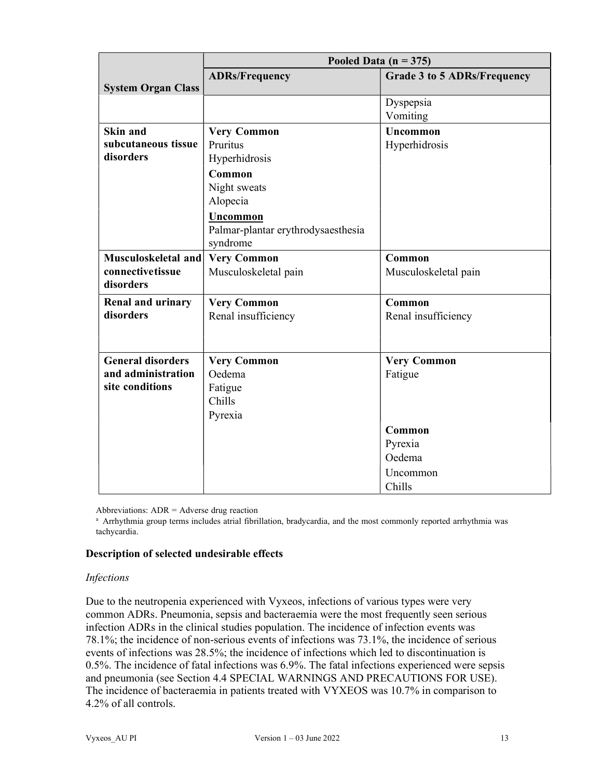|                           | Pooled Data ( $n = 375$ )          |                                    |  |
|---------------------------|------------------------------------|------------------------------------|--|
|                           | <b>ADRs/Frequency</b>              | <b>Grade 3 to 5 ADRs/Frequency</b> |  |
| <b>System Organ Class</b> |                                    |                                    |  |
|                           |                                    | Dyspepsia                          |  |
|                           |                                    | Vomiting                           |  |
| Skin and                  | <b>Very Common</b>                 | <b>Uncommon</b>                    |  |
| subcutaneous tissue       | Pruritus                           | Hyperhidrosis                      |  |
| disorders                 | Hyperhidrosis                      |                                    |  |
|                           | Common                             |                                    |  |
|                           | Night sweats                       |                                    |  |
|                           | Alopecia                           |                                    |  |
|                           | <b>Uncommon</b>                    |                                    |  |
|                           | Palmar-plantar erythrodysaesthesia |                                    |  |
|                           | syndrome                           |                                    |  |
| Musculoskeletal and       | <b>Very Common</b>                 | Common                             |  |
| connectivetissue          | Musculoskeletal pain               | Musculoskeletal pain               |  |
| disorders                 |                                    |                                    |  |
| <b>Renal and urinary</b>  | <b>Very Common</b>                 | Common                             |  |
| disorders                 | Renal insufficiency                | Renal insufficiency                |  |
|                           |                                    |                                    |  |
|                           |                                    |                                    |  |
| <b>General disorders</b>  | <b>Very Common</b>                 | <b>Very Common</b>                 |  |
| and administration        | Oedema                             | Fatigue                            |  |
| site conditions           | Fatigue                            |                                    |  |
|                           | Chills                             |                                    |  |
|                           | Pyrexia                            |                                    |  |
|                           |                                    | Common                             |  |
|                           |                                    | Pyrexia                            |  |
|                           |                                    | Oedema                             |  |
|                           |                                    | Uncommon                           |  |
|                           |                                    | Chills                             |  |

Abbreviations: ADR = Adverse drug reaction

a Arrhythmia group terms includes atrial fibrillation, bradycardia, and the most commonly reported arrhythmia was tachycardia.

#### Description of selected undesirable effects

#### Infections

Due to the neutropenia experienced with Vyxeos, infections of various types were very common ADRs. Pneumonia, sepsis and bacteraemia were the most frequently seen serious infection ADRs in the clinical studies population. The incidence of infection events was 78.1%; the incidence of non-serious events of infections was 73.1%, the incidence of serious events of infections was 28.5%; the incidence of infections which led to discontinuation is 0.5%. The incidence of fatal infections was 6.9%. The fatal infections experienced were sepsis and pneumonia (see Section 4.4 SPECIAL WARNINGS AND PRECAUTIONS FOR USE). The incidence of bacteraemia in patients treated with VYXEOS was 10.7% in comparison to 4.2% of all controls.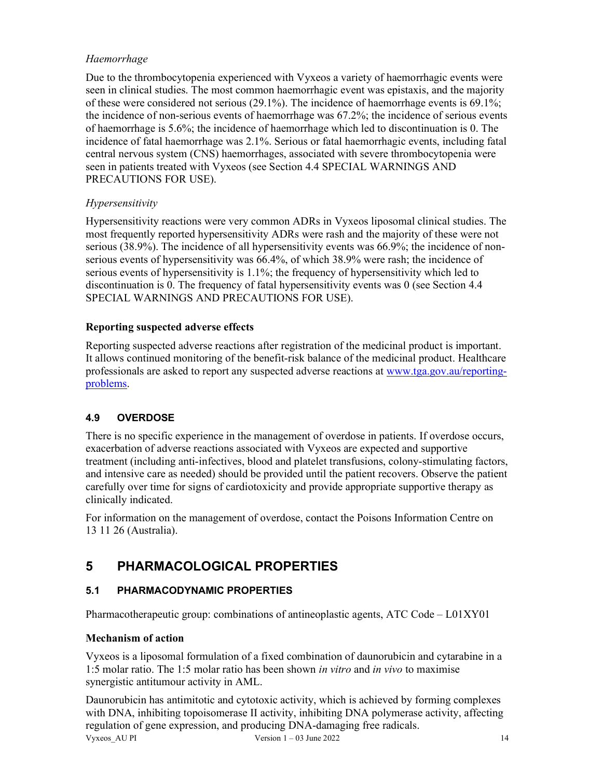# Haemorrhage

Due to the thrombocytopenia experienced with Vyxeos a variety of haemorrhagic events were seen in clinical studies. The most common haemorrhagic event was epistaxis, and the majority of these were considered not serious (29.1%). The incidence of haemorrhage events is 69.1%; the incidence of non-serious events of haemorrhage was 67.2%; the incidence of serious events of haemorrhage is 5.6%; the incidence of haemorrhage which led to discontinuation is 0. The incidence of fatal haemorrhage was 2.1%. Serious or fatal haemorrhagic events, including fatal central nervous system (CNS) haemorrhages, associated with severe thrombocytopenia were seen in patients treated with Vyxeos (see Section 4.4 SPECIAL WARNINGS AND PRECAUTIONS FOR USE).

# Hypersensitivity

Hypersensitivity reactions were very common ADRs in Vyxeos liposomal clinical studies. The most frequently reported hypersensitivity ADRs were rash and the majority of these were not serious (38.9%). The incidence of all hypersensitivity events was 66.9%; the incidence of nonserious events of hypersensitivity was 66.4%, of which 38.9% were rash; the incidence of serious events of hypersensitivity is 1.1%; the frequency of hypersensitivity which led to discontinuation is 0. The frequency of fatal hypersensitivity events was 0 (see Section 4.4 SPECIAL WARNINGS AND PRECAUTIONS FOR USE).

# Reporting suspected adverse effects

Reporting suspected adverse reactions after registration of the medicinal product is important. It allows continued monitoring of the benefit-risk balance of the medicinal product. Healthcare professionals are asked to report any suspected adverse reactions at www.tga.gov.au/reportingproblems.

# 4.9 OVERDOSE

There is no specific experience in the management of overdose in patients. If overdose occurs, exacerbation of adverse reactions associated with Vyxeos are expected and supportive treatment (including anti-infectives, blood and platelet transfusions, colony-stimulating factors, and intensive care as needed) should be provided until the patient recovers. Observe the patient carefully over time for signs of cardiotoxicity and provide appropriate supportive therapy as clinically indicated.

For information on the management of overdose, contact the Poisons Information Centre on 13 11 26 (Australia).

# 5 PHARMACOLOGICAL PROPERTIES

# 5.1 PHARMACODYNAMIC PROPERTIES

Pharmacotherapeutic group: combinations of antineoplastic agents, ATC Code – L01XY01

# Mechanism of action

Vyxeos is a liposomal formulation of a fixed combination of daunorubicin and cytarabine in a 1:5 molar ratio. The 1:5 molar ratio has been shown in vitro and in vivo to maximise synergistic antitumour activity in AML.

Vyxeos AU PI Version  $1 - 03$  June 2022 14 Daunorubicin has antimitotic and cytotoxic activity, which is achieved by forming complexes with DNA, inhibiting topoisomerase II activity, inhibiting DNA polymerase activity, affecting regulation of gene expression, and producing DNA-damaging free radicals.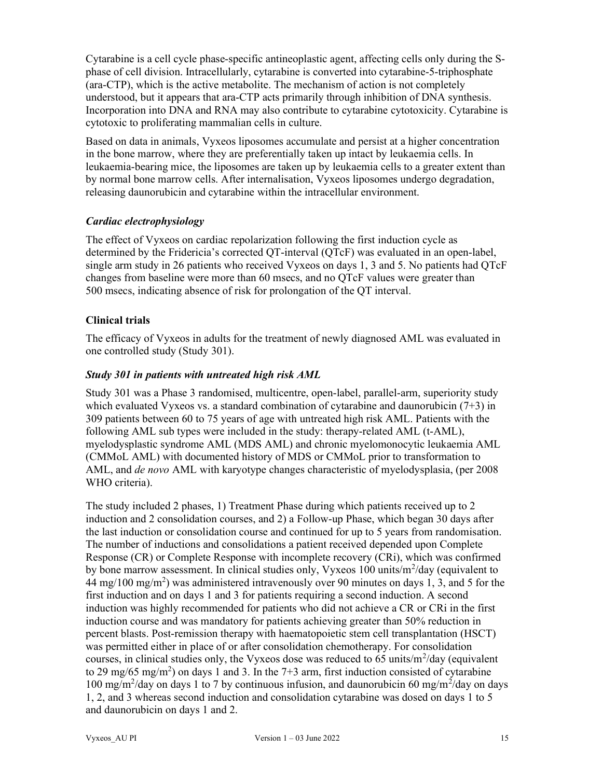Cytarabine is a cell cycle phase-specific antineoplastic agent, affecting cells only during the Sphase of cell division. Intracellularly, cytarabine is converted into cytarabine-5-triphosphate (ara-CTP), which is the active metabolite. The mechanism of action is not completely understood, but it appears that ara-CTP acts primarily through inhibition of DNA synthesis. Incorporation into DNA and RNA may also contribute to cytarabine cytotoxicity. Cytarabine is cytotoxic to proliferating mammalian cells in culture.

Based on data in animals, Vyxeos liposomes accumulate and persist at a higher concentration in the bone marrow, where they are preferentially taken up intact by leukaemia cells. In leukaemia-bearing mice, the liposomes are taken up by leukaemia cells to a greater extent than by normal bone marrow cells. After internalisation, Vyxeos liposomes undergo degradation, releasing daunorubicin and cytarabine within the intracellular environment.

# Cardiac electrophysiology

The effect of Vyxeos on cardiac repolarization following the first induction cycle as determined by the Fridericia's corrected QT-interval (QTcF) was evaluated in an open-label, single arm study in 26 patients who received Vyxeos on days 1, 3 and 5. No patients had QTcF changes from baseline were more than 60 msecs, and no QTcF values were greater than 500 msecs, indicating absence of risk for prolongation of the QT interval.

# Clinical trials

The efficacy of Vyxeos in adults for the treatment of newly diagnosed AML was evaluated in one controlled study (Study 301).

# Study 301 in patients with untreated high risk AML

Study 301 was a Phase 3 randomised, multicentre, open-label, parallel-arm, superiority study which evaluated Vyxeos vs. a standard combination of cytarabine and daunorubicin  $(7+3)$  in 309 patients between 60 to 75 years of age with untreated high risk AML. Patients with the following AML sub types were included in the study: therapy-related AML (t-AML), myelodysplastic syndrome AML (MDS AML) and chronic myelomonocytic leukaemia AML (CMMoL AML) with documented history of MDS or CMMoL prior to transformation to AML, and *de novo* AML with karyotype changes characteristic of myelodysplasia, (per 2008) WHO criteria).

The study included 2 phases, 1) Treatment Phase during which patients received up to 2 induction and 2 consolidation courses, and 2) a Follow-up Phase, which began 30 days after the last induction or consolidation course and continued for up to 5 years from randomisation. The number of inductions and consolidations a patient received depended upon Complete Response (CR) or Complete Response with incomplete recovery (CRi), which was confirmed by bone marrow assessment. In clinical studies only, Vyxeos 100 units/m<sup>2</sup>/day (equivalent to  $44 \text{ mg}/100 \text{ mg/m}^2$ ) was administered intravenously over 90 minutes on days 1, 3, and 5 for the first induction and on days 1 and 3 for patients requiring a second induction. A second induction was highly recommended for patients who did not achieve a CR or CRi in the first induction course and was mandatory for patients achieving greater than 50% reduction in percent blasts. Post-remission therapy with haematopoietic stem cell transplantation (HSCT) was permitted either in place of or after consolidation chemotherapy. For consolidation courses, in clinical studies only, the Vyxeos dose was reduced to 65 units/ $m^2$ /day (equivalent to 29 mg/65 mg/m<sup>2</sup>) on days 1 and 3. In the 7+3 arm, first induction consisted of cytarabine 100 mg/m<sup>2</sup>/day on days 1 to 7 by continuous infusion, and daunorubicin 60 mg/m<sup>2</sup>/day on days 1, 2, and 3 whereas second induction and consolidation cytarabine was dosed on days 1 to 5 and daunorubicin on days 1 and 2.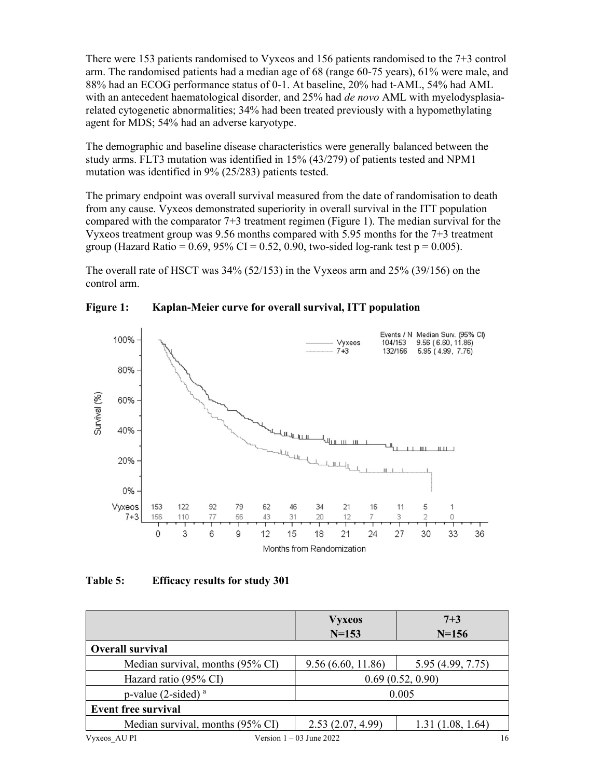There were 153 patients randomised to Vyxeos and 156 patients randomised to the 7+3 control arm. The randomised patients had a median age of 68 (range 60-75 years), 61% were male, and 88% had an ECOG performance status of 0-1. At baseline, 20% had t-AML, 54% had AML with an antecedent haematological disorder, and 25% had de novo AML with myelodysplasiarelated cytogenetic abnormalities; 34% had been treated previously with a hypomethylating agent for MDS; 54% had an adverse karyotype.

The demographic and baseline disease characteristics were generally balanced between the study arms. FLT3 mutation was identified in 15% (43/279) of patients tested and NPM1 mutation was identified in 9% (25/283) patients tested.

The primary endpoint was overall survival measured from the date of randomisation to death from any cause. Vyxeos demonstrated superiority in overall survival in the ITT population compared with the comparator 7+3 treatment regimen (Figure 1). The median survival for the Vyxeos treatment group was 9.56 months compared with 5.95 months for the 7+3 treatment group (Hazard Ratio =  $0.69$ ,  $95\%$  CI =  $0.52$ ,  $0.90$ , two-sided log-rank test p =  $0.005$ ).

The overall rate of HSCT was 34% (52/153) in the Vyxeos arm and 25% (39/156) on the control arm.



Figure 1: Kaplan-Meier curve for overall survival, ITT population

# Table 5: Efficacy results for study 301

|                                            | <b>Vyxeos</b><br>$N = 153$ | $7 + 3$<br>$N = 156$ |
|--------------------------------------------|----------------------------|----------------------|
| <b>Overall survival</b>                    |                            |                      |
| Median survival, months (95% CI)           | 9.56(6.60, 11.86)          | 5.95 (4.99, 7.75)    |
| Hazard ratio (95% CI)                      | 0.69(0.52, 0.90)           |                      |
| p-value $(2$ -sided) <sup>a</sup><br>0.005 |                            |                      |
| <b>Event free survival</b>                 |                            |                      |
| Median survival, months (95% CI)           | 2.53(2.07, 4.99)           | 1.31(1.08, 1.64)     |
| Vyxeos AU PI                               | Version $1 - 03$ June 2022 | 16                   |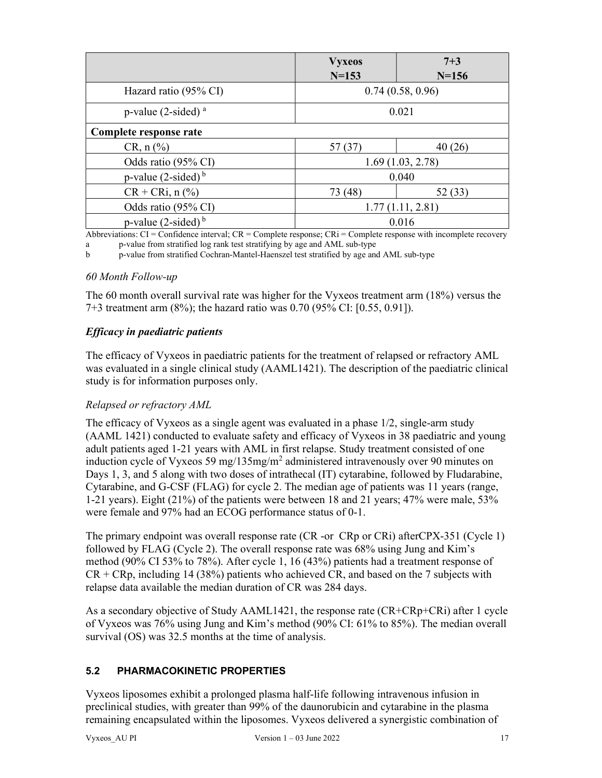|                                            | <b>Vyxeos</b>    | $7 + 3$          |
|--------------------------------------------|------------------|------------------|
|                                            | $N = 153$        | $N = 156$        |
| Hazard ratio (95% CI)                      |                  | 0.74(0.58, 0.96) |
| p-value $(2\text{-sided})$ <sup>a</sup>    |                  | 0.021            |
| Complete response rate                     |                  |                  |
| $CR, n (\%)$                               | 57 (37)          | 40(26)           |
| Odds ratio (95% CI)<br>1.69(1.03, 2.78)    |                  |                  |
| p-value $(2\text{-sided})^b$               | 0.040            |                  |
| $CR + CRi, n$ (%)                          | 73 (48)          | 52 (33)          |
| Odds ratio (95% CI)                        | 1.77(1.11, 2.81) |                  |
| p-value $(2$ -sided) <sup>b</sup><br>0.016 |                  |                  |

Abbreviations:  $CI =$  Confidence interval;  $CR =$  Complete response;  $CR =$  Complete response with incomplete recovery a p-value from stratified log rank test stratifying by age and AML sub-type

b p-value from stratified Cochran-Mantel-Haenszel test stratified by age and AML sub-type

## 60 Month Follow-up

The 60 month overall survival rate was higher for the Vyxeos treatment arm (18%) versus the 7+3 treatment arm (8%); the hazard ratio was 0.70 (95% CI: [0.55, 0.91]).

# Efficacy in paediatric patients

The efficacy of Vyxeos in paediatric patients for the treatment of relapsed or refractory AML was evaluated in a single clinical study (AAML1421). The description of the paediatric clinical study is for information purposes only.

# Relapsed or refractory AML

The efficacy of Vyxeos as a single agent was evaluated in a phase 1/2, single-arm study (AAML 1421) conducted to evaluate safety and efficacy of Vyxeos in 38 paediatric and young adult patients aged 1-21 years with AML in first relapse. Study treatment consisted of one induction cycle of Vyxeos 59 mg/135mg/m<sup>2</sup> administered intravenously over 90 minutes on Days 1, 3, and 5 along with two doses of intrathecal (IT) cytarabine, followed by Fludarabine, Cytarabine, and G-CSF (FLAG) for cycle 2. The median age of patients was 11 years (range, 1-21 years). Eight (21%) of the patients were between 18 and 21 years; 47% were male, 53% were female and 97% had an ECOG performance status of 0-1.

The primary endpoint was overall response rate (CR -or CRp or CRi) afterCPX-351 (Cycle 1) followed by FLAG (Cycle 2). The overall response rate was 68% using Jung and Kim's method (90% CI 53% to 78%). After cycle 1, 16 (43%) patients had a treatment response of  $CR + CRp$ , including 14 (38%) patients who achieved CR, and based on the 7 subjects with relapse data available the median duration of CR was 284 days.

As a secondary objective of Study AAML1421, the response rate (CR+CRp+CRi) after 1 cycle of Vyxeos was 76% using Jung and Kim's method (90% CI: 61% to 85%). The median overall survival (OS) was 32.5 months at the time of analysis.

# 5.2 PHARMACOKINETIC PROPERTIES

Vyxeos liposomes exhibit a prolonged plasma half-life following intravenous infusion in preclinical studies, with greater than 99% of the daunorubicin and cytarabine in the plasma remaining encapsulated within the liposomes. Vyxeos delivered a synergistic combination of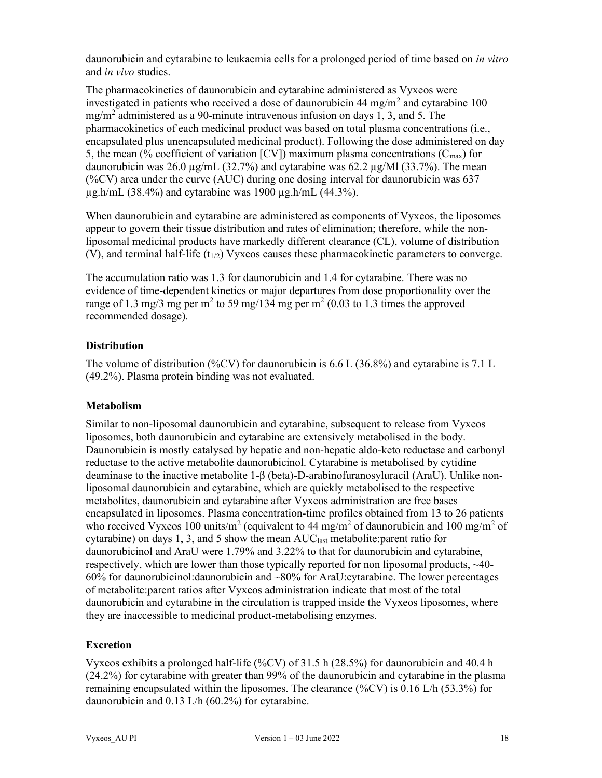daunorubicin and cytarabine to leukaemia cells for a prolonged period of time based on in vitro and in vivo studies.

The pharmacokinetics of daunorubicin and cytarabine administered as Vyxeos were investigated in patients who received a dose of daunorubicin 44 mg/m<sup>2</sup> and cytarabine 100 mg/m<sup>2</sup> administered as a 90-minute intravenous infusion on days 1, 3, and 5. The pharmacokinetics of each medicinal product was based on total plasma concentrations (i.e., encapsulated plus unencapsulated medicinal product). Following the dose administered on day 5, the mean (% coefficient of variation [CV]) maximum plasma concentrations ( $C_{\text{max}}$ ) for daunorubicin was 26.0 µg/mL (32.7%) and cytarabine was 62.2 µg/Ml (33.7%). The mean (%CV) area under the curve (AUC) during one dosing interval for daunorubicin was  $637$  $\mu$ g.h/mL (38.4%) and cytarabine was 1900  $\mu$ g.h/mL (44.3%).

When daunorubicin and cytarabine are administered as components of Vyxeos, the liposomes appear to govern their tissue distribution and rates of elimination; therefore, while the nonliposomal medicinal products have markedly different clearance (CL), volume of distribution (V), and terminal half-life  $(t_{1/2})$  Vyxeos causes these pharmacokinetic parameters to converge.

The accumulation ratio was 1.3 for daunorubicin and 1.4 for cytarabine. There was no evidence of time-dependent kinetics or major departures from dose proportionality over the range of 1.3 mg/3 mg per m<sup>2</sup> to 59 mg/134 mg per m<sup>2</sup> (0.03 to 1.3 times the approved recommended dosage).

# **Distribution**

The volume of distribution (%CV) for daunorubicin is 6.6 L (36.8%) and cytarabine is 7.1 L (49.2%). Plasma protein binding was not evaluated.

### Metabolism

Similar to non-liposomal daunorubicin and cytarabine, subsequent to release from Vyxeos liposomes, both daunorubicin and cytarabine are extensively metabolised in the body. Daunorubicin is mostly catalysed by hepatic and non-hepatic aldo-keto reductase and carbonyl reductase to the active metabolite daunorubicinol. Cytarabine is metabolised by cytidine deaminase to the inactive metabolite 1-β (beta)-D-arabinofuranosyluracil (AraU). Unlike nonliposomal daunorubicin and cytarabine, which are quickly metabolised to the respective metabolites, daunorubicin and cytarabine after Vyxeos administration are free bases encapsulated in liposomes. Plasma concentration-time profiles obtained from 13 to 26 patients who received Vyxeos 100 units/m<sup>2</sup> (equivalent to 44 mg/m<sup>2</sup> of daunorubicin and 100 mg/m<sup>2</sup> of cytarabine) on days 1, 3, and 5 show the mean AUClast metabolite:parent ratio for daunorubicinol and AraU were 1.79% and 3.22% to that for daunorubicin and cytarabine, respectively, which are lower than those typically reported for non liposomal products, ~40- 60% for daunorubicinol:daunorubicin and ~80% for AraU:cytarabine. The lower percentages of metabolite:parent ratios after Vyxeos administration indicate that most of the total daunorubicin and cytarabine in the circulation is trapped inside the Vyxeos liposomes, where they are inaccessible to medicinal product-metabolising enzymes.

# Excretion

Vyxeos exhibits a prolonged half-life (%CV) of 31.5 h (28.5%) for daunorubicin and 40.4 h (24.2%) for cytarabine with greater than 99% of the daunorubicin and cytarabine in the plasma remaining encapsulated within the liposomes. The clearance (%CV) is 0.16 L/h (53.3%) for daunorubicin and 0.13 L/h (60.2%) for cytarabine.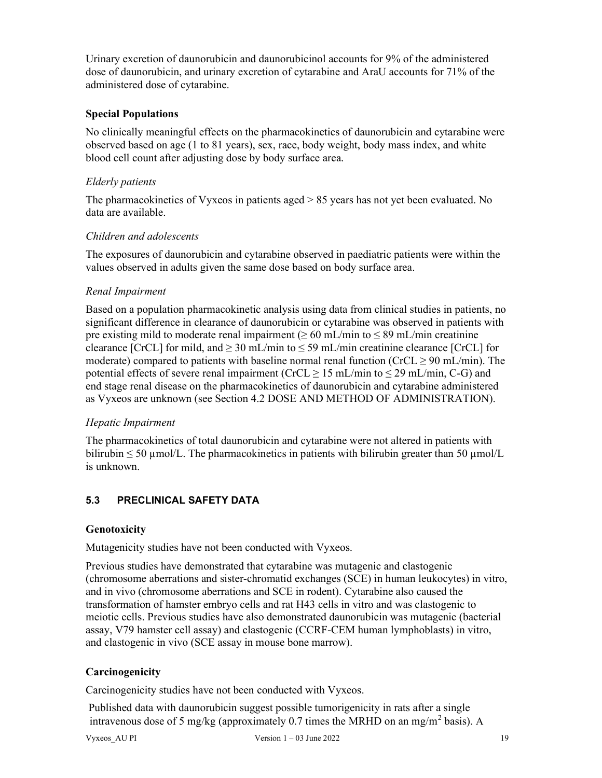Urinary excretion of daunorubicin and daunorubicinol accounts for 9% of the administered dose of daunorubicin, and urinary excretion of cytarabine and AraU accounts for 71% of the administered dose of cytarabine.

## Special Populations

No clinically meaningful effects on the pharmacokinetics of daunorubicin and cytarabine were observed based on age (1 to 81 years), sex, race, body weight, body mass index, and white blood cell count after adjusting dose by body surface area.

## Elderly patients

The pharmacokinetics of Vyxeos in patients aged > 85 years has not yet been evaluated. No data are available.

## Children and adolescents

The exposures of daunorubicin and cytarabine observed in paediatric patients were within the values observed in adults given the same dose based on body surface area.

### Renal Impairment

Based on a population pharmacokinetic analysis using data from clinical studies in patients, no significant difference in clearance of daunorubicin or cytarabine was observed in patients with pre existing mild to moderate renal impairment ( $\geq 60$  mL/min to  $\leq 89$  mL/min creatinine clearance [CrCL] for mild, and  $\geq$  30 mL/min to  $\leq$  59 mL/min creatinine clearance [CrCL] for moderate) compared to patients with baseline normal renal function ( $CrCL \ge 90$  mL/min). The potential effects of severe renal impairment (CrCL  $\geq$  15 mL/min to  $\leq$  29 mL/min, C-G) and end stage renal disease on the pharmacokinetics of daunorubicin and cytarabine administered as Vyxeos are unknown (see Section 4.2 DOSE AND METHOD OF ADMINISTRATION).

# Hepatic Impairment

The pharmacokinetics of total daunorubicin and cytarabine were not altered in patients with bilirubin  $\leq 50 \text{ µmol/L}$ . The pharmacokinetics in patients with bilirubin greater than 50  $\mu$ mol/L is unknown.

# 5.3 PRECLINICAL SAFETY DATA

### Genotoxicity

Mutagenicity studies have not been conducted with Vyxeos.

Previous studies have demonstrated that cytarabine was mutagenic and clastogenic (chromosome aberrations and sister-chromatid exchanges (SCE) in human leukocytes) in vitro, and in vivo (chromosome aberrations and SCE in rodent). Cytarabine also caused the transformation of hamster embryo cells and rat H43 cells in vitro and was clastogenic to meiotic cells. Previous studies have also demonstrated daunorubicin was mutagenic (bacterial assay, V79 hamster cell assay) and clastogenic (CCRF-CEM human lymphoblasts) in vitro, and clastogenic in vivo (SCE assay in mouse bone marrow).

# **Carcinogenicity**

Carcinogenicity studies have not been conducted with Vyxeos.

 Published data with daunorubicin suggest possible tumorigenicity in rats after a single intravenous dose of 5 mg/kg (approximately 0.7 times the MRHD on an mg/m<sup>2</sup> basis). A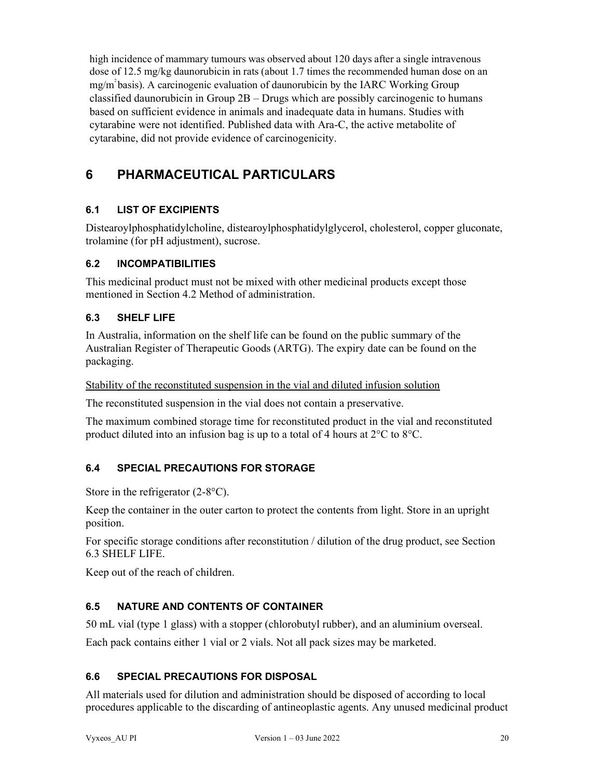high incidence of mammary tumours was observed about 120 days after a single intravenous dose of 12.5 mg/kg daunorubicin in rats (about 1.7 times the recommended human dose on an  $mg/m<sup>2</sup>$  basis). A carcinogenic evaluation of daunorubicin by the IARC Working Group classified daunorubicin in Group  $2B - Drugs$  which are possibly carcinogenic to humans based on sufficient evidence in animals and inadequate data in humans. Studies with cytarabine were not identified. Published data with Ara-C, the active metabolite of cytarabine, did not provide evidence of carcinogenicity.

# 6 PHARMACEUTICAL PARTICULARS

# 6.1 LIST OF EXCIPIENTS

Distearoylphosphatidylcholine, distearoylphosphatidylglycerol, cholesterol, copper gluconate, trolamine (for pH adjustment), sucrose.

## 6.2 INCOMPATIBILITIES

This medicinal product must not be mixed with other medicinal products except those mentioned in Section 4.2 Method of administration.

## 6.3 SHELF LIFE

In Australia, information on the shelf life can be found on the public summary of the Australian Register of Therapeutic Goods (ARTG). The expiry date can be found on the packaging.

Stability of the reconstituted suspension in the vial and diluted infusion solution

The reconstituted suspension in the vial does not contain a preservative.

The maximum combined storage time for reconstituted product in the vial and reconstituted product diluted into an infusion bag is up to a total of 4 hours at 2°C to 8°C.

# 6.4 SPECIAL PRECAUTIONS FOR STORAGE

Store in the refrigerator (2-8<sup>o</sup>C).

Keep the container in the outer carton to protect the contents from light. Store in an upright position.

For specific storage conditions after reconstitution / dilution of the drug product, see Section 6.3 SHELF LIFE.

Keep out of the reach of children.

# 6.5 NATURE AND CONTENTS OF CONTAINER

50 mL vial (type 1 glass) with a stopper (chlorobutyl rubber), and an aluminium overseal.

Each pack contains either 1 vial or 2 vials. Not all pack sizes may be marketed.

## 6.6 SPECIAL PRECAUTIONS FOR DISPOSAL

All materials used for dilution and administration should be disposed of according to local procedures applicable to the discarding of antineoplastic agents. Any unused medicinal product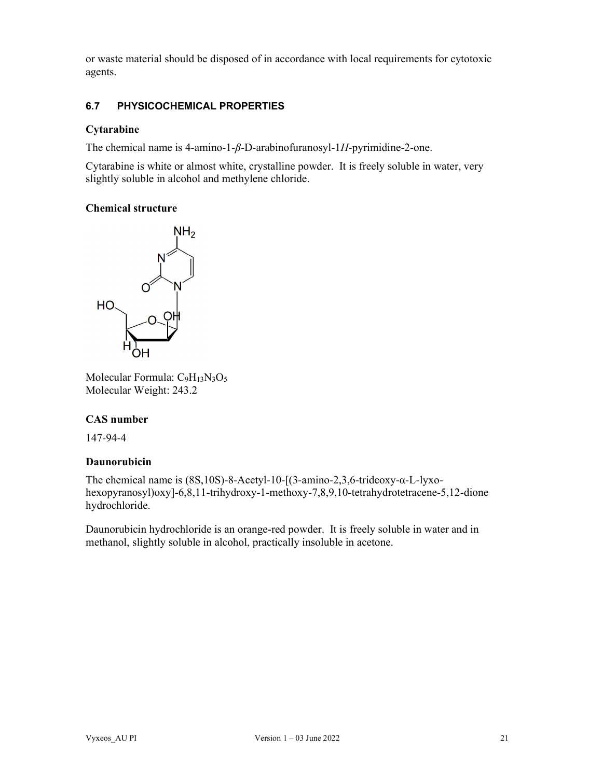or waste material should be disposed of in accordance with local requirements for cytotoxic agents.

# 6.7 PHYSICOCHEMICAL PROPERTIES

#### Cytarabine

The chemical name is 4-amino-1- $\beta$ -D-arabinofuranosyl-1H-pyrimidine-2-one.

Cytarabine is white or almost white, crystalline powder. It is freely soluble in water, very slightly soluble in alcohol and methylene chloride.

### Chemical structure



Molecular Formula: C9H13N3O<sup>5</sup> Molecular Weight: 243.2

### CAS number

147-94-4

### Daunorubicin

The chemical name is (8S,10S)-8-Acetyl-10-[(3-amino-2,3,6-trideoxy-α-L-lyxohexopyranosyl)oxy]-6,8,11-trihydroxy-1-methoxy-7,8,9,10-tetrahydrotetracene-5,12-dione hydrochloride.

Daunorubicin hydrochloride is an orange-red powder. It is freely soluble in water and in methanol, slightly soluble in alcohol, practically insoluble in acetone.